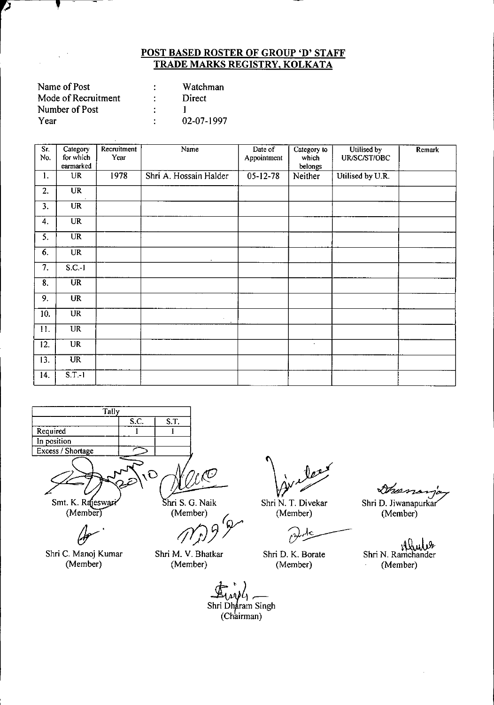| Name of Post        |    | Watchman   |
|---------------------|----|------------|
| Mode of Recruitment |    | Direct     |
| Number of Post      |    |            |
| Year                | ٠. | 02-07-1997 |

ク

 $\frac{1}{2}$  ,  $\frac{1}{2}$ 

 $\hat{\boldsymbol{\beta}}$ 

| Sr.<br>No.                | Category<br>for which<br>earmarked | Recruitment<br>Year | Name                   | Date of<br>Appointment | Category to<br>which<br>belongs | Utilised by<br>UR/SC/ST/OBC | Remark |
|---------------------------|------------------------------------|---------------------|------------------------|------------------------|---------------------------------|-----------------------------|--------|
| 1.                        | UR                                 | 1978                | Shri A. Hossain Halder | $05-12-78$             | Neither                         | Utilised by U.R.            |        |
| 2.                        | $\overline{\text{UR}}$             |                     |                        |                        |                                 |                             |        |
| 3.                        | $\overline{\text{UR}}$             |                     |                        |                        |                                 |                             |        |
| 4.                        | <b>UR</b>                          |                     |                        |                        |                                 |                             |        |
| $\overline{5}$ .          | $\overline{\text{UR}}$             |                     |                        |                        |                                 |                             |        |
| 6.                        | <b>UR</b>                          |                     |                        |                        |                                 |                             |        |
| $\overline{7}$ .          | $S.C.-1$                           |                     |                        |                        |                                 |                             |        |
| $\overline{\mathbf{8}}$ . | $\overline{\text{UR}}$             |                     |                        |                        |                                 |                             |        |
| 9.                        | <b>UR</b>                          |                     |                        |                        |                                 |                             |        |
| 10.                       | <b>UR</b>                          |                     | $\sigma$ .             |                        |                                 |                             |        |
| 11.                       | UR                                 |                     |                        |                        |                                 |                             |        |
| 12.                       | <b>UR</b>                          |                     |                        |                        | $\sim$                          |                             |        |
| 13.                       | <b>UR</b>                          |                     |                        |                        |                                 |                             |        |
| 14.                       | $S.T.-1$                           |                     |                        |                        |                                 |                             |        |

**Tally**  $S.C.$   $S.T.$ Required 1 1 In position Excess / Shortage  $\mathbf O$ 

~.

Shri C. Manoj Kumar (Member)

r (C

hri S. G. Naik (Member)

*/j(jJJr*

Shri M. V. Bhatkar (Member)

sincles

Shri N. T. Divekar (Member)

 $\hat{O}$ 

Shri D. K. Borate (Member)

Ans n

Shri D. Jiwanapurkar (Member)

لالمللايا<br>Shri N. Ramchande (Member)

*~~b~ \_\_* Shri Dharam Singh (Chairman)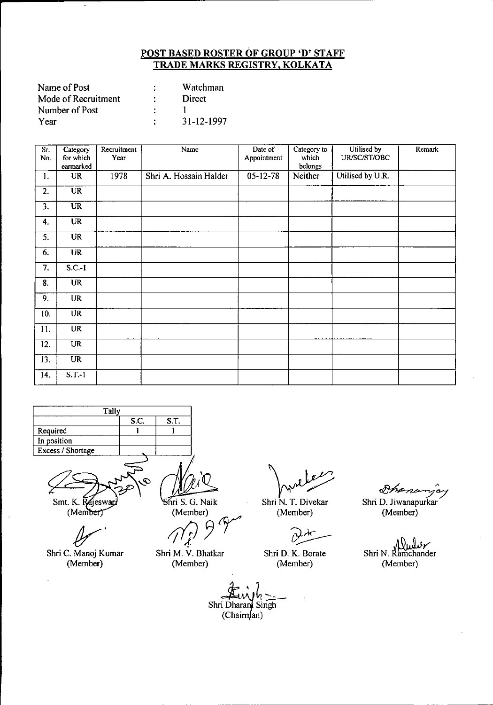| Name of Post        |   | Watchman   |
|---------------------|---|------------|
| Mode of Recruitment |   | Direct     |
| Number of Post      |   |            |
| Year                | ٠ | 31-12-1997 |

 $\cdot$ 

| $\overline{\text{Sr.}}$<br>No. | Category<br>for which<br>earmarked | Recruitment<br>Year | Name                   | Date of<br>Appointment | Category to<br>which<br>belongs | Utilised by<br>UR/SC/ST/OBC | Remark |
|--------------------------------|------------------------------------|---------------------|------------------------|------------------------|---------------------------------|-----------------------------|--------|
| 1.                             | <b>UR</b>                          | 1978                | Shri A. Hossain Halder | $05 - 12 - 78$         | Neither                         | Utilised by U.R.            |        |
| $\overline{2}$ .               | $\overline{\text{UR}}$             |                     |                        |                        |                                 |                             |        |
| 3.                             | <b>UR</b>                          |                     |                        | $\sim$                 |                                 |                             |        |
| 4.                             | <b>UR</b>                          |                     |                        |                        |                                 |                             |        |
| 5.                             | <b>UR</b>                          |                     |                        |                        |                                 |                             |        |
| 6.                             | <b>UR</b>                          |                     |                        |                        |                                 |                             |        |
| 7.                             | $S.C.-1$                           |                     |                        |                        |                                 |                             |        |
| 8.                             | <b>UR</b>                          |                     |                        |                        |                                 |                             |        |
| 9.                             | <b>UR</b>                          |                     |                        |                        |                                 |                             |        |
| 10.                            | <b>UR</b>                          |                     |                        |                        |                                 |                             |        |
| 11.                            | <b>UR</b>                          |                     |                        |                        |                                 |                             |        |
| 12.                            | UR                                 |                     |                        |                        |                                 |                             |        |
| $\overline{13}$ .              | <b>UR</b>                          |                     |                        |                        |                                 |                             |        |
| 14.                            | $S.T.-1$                           |                     |                        |                        |                                 |                             |        |

| <b>Tally</b>      |      |      |
|-------------------|------|------|
|                   | S.C. | S.T. |
| Required          |      |      |
| In position       |      |      |
| Excess / Shortage |      |      |
|                   |      |      |



Ł

Shri C. Manoj Kumar (Member)

 $\ddot{\phantom{a}}$ 

ri S. G. Naik (Member)

*My*<br>*firi* S. G. Naik<br>(Member)<br>*/*/*f* ,f.

Shri M. V. Bhatkar (Member)

Avelois<br>Avelois<br>(Member) St<br>(Member)

Shri N. T. Divekar (Member)

Shri D. K. Borate (Member)

 $\mathcal{D}_{\mathcal{P}}$  ...

Shri D. Jiwanapurkar (Member)

Shri N. Ramchander (Member)

 $, 7$  $4\leq$ Shri Dharand Singh  $(Chairm<sub>tan</sub>)$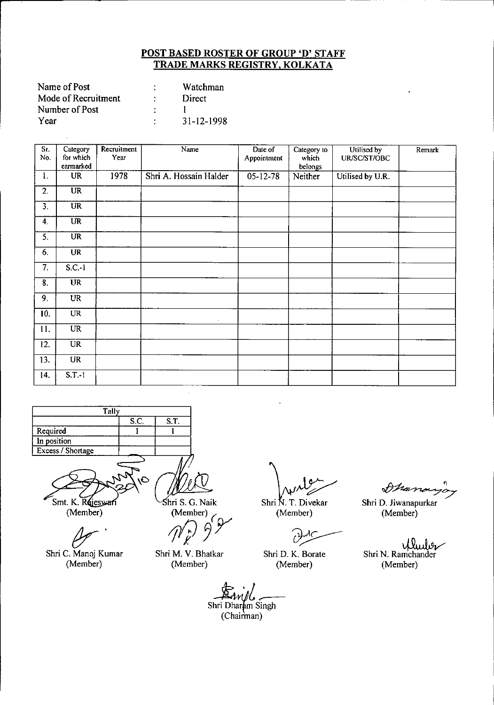| Name of Post        | Watchman         |
|---------------------|------------------|
| Mode of Recruitment | Direct           |
| Number of Post      |                  |
| Year                | $31 - 12 - 1998$ |

| Sr.<br>No.       | Category<br>for which<br>earmarked | Recruitment<br>Year | Name                   | Date of<br>Appointment | Category to<br>which<br>belongs | Utilised by<br>UR/SC/ST/OBC | Remark |
|------------------|------------------------------------|---------------------|------------------------|------------------------|---------------------------------|-----------------------------|--------|
| 1.               | <b>UR</b>                          | 1978                | Shri A. Hossain Halder | $05-12-78$             | Neither                         | Utilised by U.R.            |        |
| 2.               | $\overline{\text{UR}}$             |                     |                        |                        |                                 |                             |        |
| $\overline{3}$ . | $\overline{\text{UR}}$             |                     |                        |                        |                                 |                             |        |
| 4.               | $\overline{\text{UR}}$             |                     |                        |                        |                                 |                             |        |
| 5.               | $\overline{\text{UR}}$             |                     |                        |                        |                                 |                             |        |
| 6.               | <b>UR</b>                          |                     |                        |                        |                                 |                             |        |
| $\overline{7}$ . | $S.C.-1$                           |                     |                        |                        |                                 |                             |        |
| $\overline{8}$ . | $\overline{\text{UR}}$             |                     |                        |                        |                                 |                             |        |
| 9.               | <b>UR</b>                          |                     |                        |                        |                                 |                             |        |
| 10.              | <b>UR</b>                          |                     |                        |                        |                                 |                             |        |
| 11.              | <b>UR</b>                          |                     |                        |                        |                                 |                             |        |
| 12.              | $\overline{\text{UR}}$             |                     |                        |                        |                                 |                             |        |
| 13.              | <b>UR</b>                          |                     |                        |                        |                                 |                             |        |
| 14.              | $S.T.-1$                           |                     |                        |                        |                                 |                             |        |

| Tally             |      |      |
|-------------------|------|------|
|                   | S.C. | S.T. |
| Required          |      |      |
| In position       |      |      |
| Excess / Shortage |      |      |
|                   |      |      |

Smt. K. Rejeswari

(Member)

*(Jr'*

Shri C. Manoj Kumar (Member)

shri S. G. Naik

(Member)<br>(*n*<sup>r</sup>) 99

Shri M. V. Bhatkar (Member)

Shri N. T. Divekar<br>(Member)

C

Shri D. K. Borate (Member)

 $\partial$ hon

Shri D. Jiwanapurkar (Member)

illuder Shri N. Ramchander (Member)

*£~;A~r-*Shri Dharam Singh (Chairman)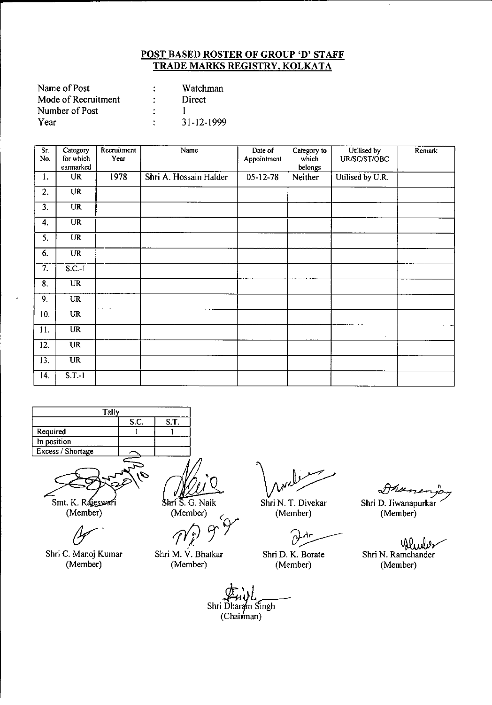| Name of Post        | ٠ | Watchman         |
|---------------------|---|------------------|
| Mode of Recruitment |   | Direct           |
| Number of Post      |   |                  |
| Year                | ٠ | $31 - 12 - 1999$ |

| Sr.<br>No. | Category<br>for which<br>earmarked           | Recruitment<br>Year | Name                   | Date of<br>Appointment | Category to<br>which<br>belongs | Utilised by<br>UR/SC/ST/OBC | <b>Remark</b> |
|------------|----------------------------------------------|---------------------|------------------------|------------------------|---------------------------------|-----------------------------|---------------|
| 1.         | <b>UR</b>                                    | 1978                | Shri A. Hossain Halder | $05 - 12 - 78$         | Neither                         | Utilised by U.R.            |               |
| 2.         | <b>UR</b>                                    |                     |                        |                        |                                 |                             |               |
| 3.         | <b>UR</b>                                    |                     |                        |                        |                                 |                             |               |
| 4.         | <b>UR</b>                                    |                     |                        |                        |                                 |                             |               |
| 5.         | <b>UR</b>                                    |                     |                        |                        |                                 |                             |               |
| 6.         | UR                                           |                     |                        |                        |                                 |                             |               |
| 7.         | $S.C.-1$                                     |                     |                        |                        |                                 |                             |               |
| 8.         | $\overline{UR}$                              |                     |                        |                        |                                 |                             |               |
| 9.         | <b>UR</b>                                    |                     |                        |                        |                                 |                             |               |
| 10.        | <b>UR</b>                                    |                     |                        |                        |                                 |                             |               |
| 11.        | <b>UR</b>                                    |                     |                        |                        |                                 | $\epsilon$                  |               |
| 12.        | $\overline{\mathtt{U}}\overline{\mathtt{R}}$ |                     |                        |                        |                                 |                             |               |
| 13.        | $\overline{\text{UR}}$                       |                     |                        |                        |                                 |                             |               |
| 14.        | $S.T.-1$                                     |                     |                        |                        |                                 |                             |               |

| Tally             |      |      |  |  |  |  |
|-------------------|------|------|--|--|--|--|
|                   | S.C. | S.T. |  |  |  |  |
| Required          |      |      |  |  |  |  |
| In position       |      |      |  |  |  |  |
| Excess / Shortage |      |      |  |  |  |  |
|                   |      |      |  |  |  |  |



(Member)

Shri C. Manoj Kumar (Member)

Shri S. G. Naik

(Member) (

p0 *Cfr I.*

Shri M. V. Bhatkar (Member)

*\v~* Shri N. T. Divekar (Member)

Shri D. K. Borate (Member)

 $\partial\mathcal{H}^{\mu}$ 

Shri D. Jiwanapurkar (Member)

. Dew Shri N. Ramchander (Member)

Shri Dharam Singh  $(Chainman)$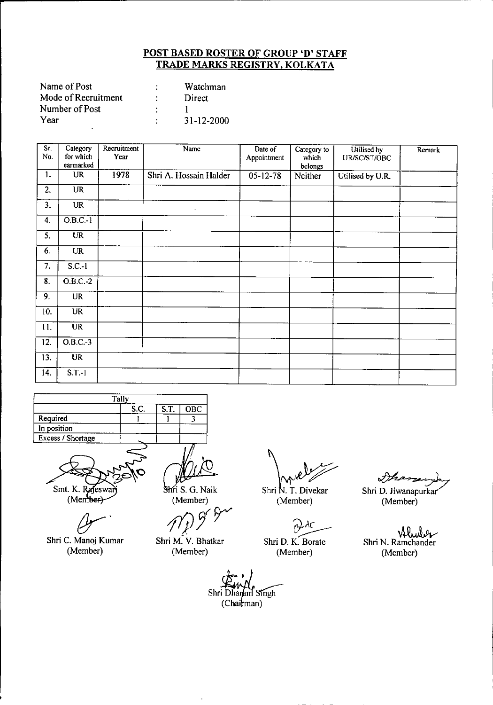| Name of Post        |   | Watchman   |
|---------------------|---|------------|
| Mode of Recruitment |   | Direct     |
| Number of Post      |   |            |
| Year                | ٠ | 31-12-2000 |

| $\overline{\text{Sr.}}$<br>No. | Category<br>for which<br>earmarked | Recruitment<br>Year | Name                   | Date of<br>Appointment | Category to<br>which<br>belongs | Utilised by<br>UR/SC/ST/OBC | Remark |
|--------------------------------|------------------------------------|---------------------|------------------------|------------------------|---------------------------------|-----------------------------|--------|
| 1.                             | <b>UR</b>                          | 1978                | Shri A. Hossain Halder | $05 - 12 - 78$         | Neither                         | Utilised by U.R.            |        |
| 2.                             | <b>UR</b>                          |                     |                        |                        |                                 |                             |        |
| $\overline{3}$ .               | $\overline{\text{UR}}$             |                     | $\bullet$              |                        |                                 |                             |        |
| 4.                             | $O.B.C.-1$                         |                     |                        |                        |                                 |                             |        |
| 5.                             | <b>UR</b>                          |                     |                        |                        |                                 |                             |        |
| 6.                             | <b>UR</b>                          |                     |                        |                        |                                 |                             |        |
| 7.                             | $S.C.-1$                           |                     |                        |                        |                                 |                             |        |
| $\overline{\mathbf{8}}$ .      | $O.B.C.-2$                         |                     |                        |                        |                                 |                             |        |
| 9.                             | <b>UR</b>                          |                     |                        |                        |                                 |                             |        |
| 10.                            | <b>UR</b>                          |                     |                        |                        |                                 |                             |        |
| 11.                            | $\overline{\text{UR}}$             |                     |                        |                        |                                 |                             |        |
| 12.                            | $O.B.C.-3$                         |                     |                        |                        |                                 |                             |        |
| 13.                            | UR                                 |                     |                        |                        |                                 |                             |        |
| 14.                            | $S.T.-1$                           |                     |                        |                        |                                 |                             |        |

|                   | Tally |      |     |
|-------------------|-------|------|-----|
|                   | S.C.  | S.T. | OBC |
| Required          |       |      |     |
| In position       |       |      |     |
| Excess / Shortage |       |      |     |
|                   |       |      |     |

Smt. K. Rajeswart

Shri C. Manoj Kumar (Member)

Shri S. G. Naik (Member)

(Member)<br>*1ff* 9<sup>*fr*</sup>

Shri M. V. Bhatkar (Member)

Shri N. T. Divekar<br>(Member) St<br>(Member)

(Member)

~ Shri D. K. Borate

(Member)

Shri D. Jiwanapurkar (Member)

~ Shri N. Ramchander {Member)

Shri Dharam Singh

 $(Chain)$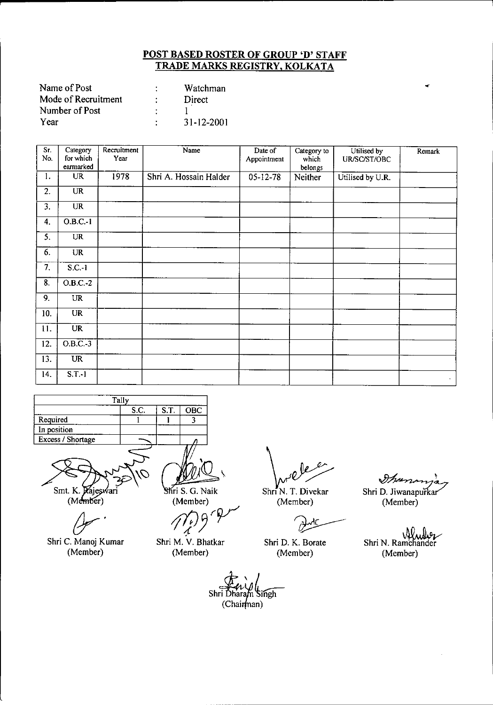| Name of Post        | Watchman         |
|---------------------|------------------|
| Mode of Recruitment | Direct           |
| Number of Post      |                  |
| Year                | $31 - 12 - 2001$ |

| $\overline{\text{Sr}}$<br>No. | Category<br>for which<br>earmarked | Recruitment<br>Year | Name                   | Date of<br>Appointment | Category to<br>which<br>belongs | Utilised by<br>UR/SC/ST/OBC | Remark |
|-------------------------------|------------------------------------|---------------------|------------------------|------------------------|---------------------------------|-----------------------------|--------|
| 1.                            | <b>UR</b>                          | 1978                | Shri A. Hossain Halder | $05 - 12 - 78$         | Neither                         | Utilised by U.R.            |        |
| 2.                            | <b>UR</b>                          |                     |                        |                        |                                 |                             |        |
| 3.                            | <b>UR</b>                          |                     |                        |                        |                                 |                             |        |
| 4.                            | $O.B.C.-1$                         |                     |                        |                        |                                 |                             |        |
| 5.                            | <b>UR</b>                          |                     |                        |                        |                                 |                             |        |
| 6.                            | <b>UR</b>                          |                     |                        |                        |                                 |                             |        |
| 7.                            | $S.C.-1$                           |                     |                        |                        |                                 |                             |        |
| 8.                            | $O.B.C.-2$                         |                     |                        |                        |                                 |                             |        |
| 9.                            | UR                                 |                     |                        |                        |                                 |                             |        |
| 10.                           | <b>UR</b>                          |                     |                        |                        |                                 |                             |        |
| 11.                           | UR                                 |                     |                        |                        |                                 |                             |        |
| 12.                           | $O.B.C.-3$                         |                     |                        |                        |                                 |                             |        |
| 13.                           | <b>UR</b>                          |                     |                        |                        |                                 |                             |        |
| 14.                           | $S.T.-1$                           |                     |                        |                        |                                 |                             | $\sim$ |

|                   | Tally |             |     |
|-------------------|-------|-------------|-----|
|                   | S.C.  | <b>S.T.</b> | OBC |
| Required          |       |             |     |
| In position       |       |             |     |
| Excess / Shortage |       |             |     |
|                   |       |             |     |

Smt. K. Rajes яr

(Member)

Shri C. Manoj Kumar

(Member)

Shri S. G. Naik

(Member)

*1fjJ~~V*

Shri M. V. Bhatkar (Member)

— V

Shri N. T. Divekar (Member)

(Member)

Shri D. K. Borate

Ihans Shri D. Jiwanapurkar (Member)

Shri N. Ramchander (Member)

Shri Dhara singh

 $(Chain$ nan)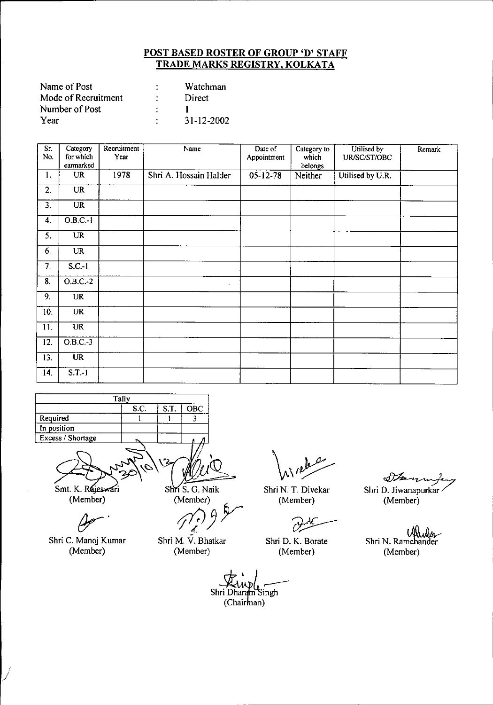| Name of Post        | ٠ | Watchman         |
|---------------------|---|------------------|
| Mode of Recruitment | ٠ | Direct           |
| Number of Post      |   |                  |
| Year                | ٠ | $31 - 12 - 2002$ |

| Sr.<br>No.       | Category<br>for which<br>earmarked | Recruitment<br>Year | Name                   | Date of<br>Appointment | Category to<br>which<br>belongs | Utilised by<br>UR/SC/ST/OBC | Remark |
|------------------|------------------------------------|---------------------|------------------------|------------------------|---------------------------------|-----------------------------|--------|
| 1.               | <b>UR</b>                          | 1978                | Shri A. Hossain Halder | $05 - 12 - 78$         | Neither                         | Utilised by U.R.            |        |
| $\overline{2}$ . | UR                                 |                     |                        |                        |                                 |                             |        |
| $\overline{3}$ . | $\overline{\text{UR}}$             |                     |                        |                        |                                 |                             |        |
| 4.               | $O.B.C.-1$                         |                     |                        |                        |                                 |                             |        |
| 5.               | <b>UR</b>                          |                     |                        |                        |                                 |                             |        |
| 6.               | <b>UR</b>                          |                     |                        |                        |                                 |                             |        |
| 7.               | $S.C.-1$                           |                     |                        |                        |                                 |                             |        |
| 8.               | $O.B.C.-2$                         |                     | $\sim$                 |                        |                                 |                             |        |
| 9.               | <b>UR</b>                          |                     |                        |                        |                                 |                             |        |
| 10.              | <b>UR</b>                          |                     |                        |                        |                                 |                             |        |
| 11.              | <b>UR</b>                          |                     |                        |                        |                                 |                             |        |
| 12.              | $O.B.C.-3$                         |                     |                        |                        |                                 |                             |        |
| 13.              | $\overline{\text{UR}}$             |                     |                        |                        |                                 |                             |        |
| 14.              | S.T.1                              |                     |                        |                        |                                 |                             |        |

| Tallv             |      |      |     |  |  |
|-------------------|------|------|-----|--|--|
|                   | S.C. | S.T. | OBC |  |  |
| Required          |      |      |     |  |  |
| In position       |      |      |     |  |  |
| Excess / Shortage |      |      |     |  |  |
|                   |      |      |     |  |  |

Shr S. G. Naik

Smt. K. Rejeswari (Member)

*&Jr'*

Shri C. Manoj Kumar (Member)

(Member)

Shri M. V. Bhatkar (Member)

Shri N. T. Divekar (Member)

 $\mathcal{O}$ 

Shri D. K. Borate (Member)

مهره

*<tV~* Shri D. Jiwanapurkar (Member)

 $\mathcal{C}(\mathcal{X})$ Shri N. Ramchander (Member)

Shri Dharam Singh

(Chairman)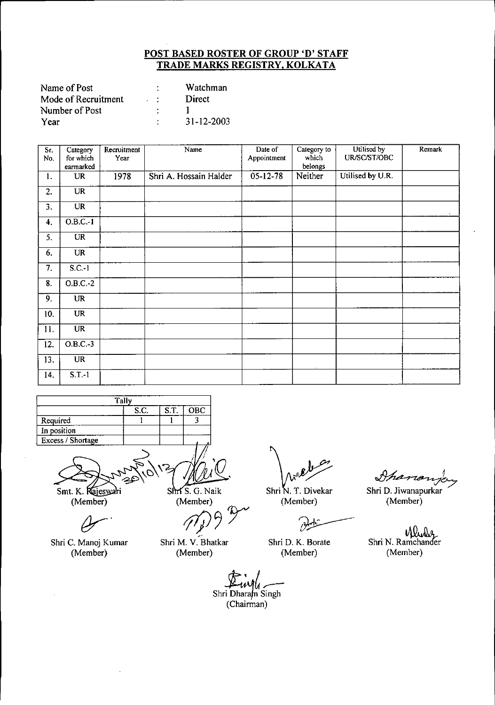| Name of Post        |                             | Watchman   |
|---------------------|-----------------------------|------------|
| Mode of Recruitment | $\sim 10^{-1}$ M $_{\odot}$ | Direct     |
| Number of Post      |                             |            |
| Year                | ٠                           | 31-12-2003 |

| Sr.<br>No.                | Category<br>for which<br>earmarked | Recruitment<br>Year | Name                   | Date of<br>Appointment | Category to<br>which<br>belongs | Utilised by<br>UR/SC/ST/OBC | Remark |
|---------------------------|------------------------------------|---------------------|------------------------|------------------------|---------------------------------|-----------------------------|--------|
| 1.                        | <b>UR</b>                          | 1978                | Shri A. Hossain Halder | $05 - 12 - 78$         | Neither                         | Utilised by U.R.            |        |
| 2.                        | <b>UR</b>                          |                     |                        |                        |                                 |                             |        |
| 3.                        | $\overline{\text{UR}}$             |                     |                        |                        |                                 |                             | $\sim$ |
| 4.                        | $O.B.C.-1$                         |                     |                        |                        |                                 |                             |        |
| 5.                        | <b>UR</b>                          |                     |                        |                        |                                 |                             |        |
| 6.                        | <b>UR</b>                          |                     |                        |                        |                                 |                             |        |
| 7.                        | $S.C.-1$                           |                     |                        |                        |                                 |                             |        |
| $\overline{\mathbf{8}}$ . | $O.B.C.-2$                         |                     |                        |                        |                                 |                             |        |
| 9.                        | <b>UR</b>                          |                     |                        |                        |                                 |                             |        |
| 10.                       | <b>UR</b>                          |                     |                        |                        |                                 |                             |        |
| 11.                       | <b>UR</b>                          |                     |                        |                        |                                 |                             |        |
| 12.                       | $O.B.C.-3$                         |                     |                        |                        |                                 |                             |        |
| 13.                       | <b>UR</b>                          |                     |                        |                        |                                 |                             |        |
| 14.                       | S.T.1                              |                     |                        |                        |                                 |                             |        |

|                   | Tally |                      |     |
|-------------------|-------|----------------------|-----|
|                   | S.C.  | $S_{\cdot}T_{\cdot}$ | OBC |
| Required          |       |                      |     |
| In position       |       |                      |     |
| Excess / Shortage |       |                      |     |
|                   |       |                      |     |

 $\overline{\text{Shf S. G. Naik}}$ 

Smt. K. Rajeswari (Member)

 $\overline{a}$ .

Shri C. Manoj Kumar (Member)

(Member)

Shri M. V. Bhatkar (Member)

 $\partial$ 

Shri N. T. Divekar (Member)

(Member)

Shri D. Jiwanapurkar

Shanon

Shri N. Ramchander (Member)

*ctL:Jht~*

Shri Dharam Singh (Chairman)

Shri D. K. Borate (Member)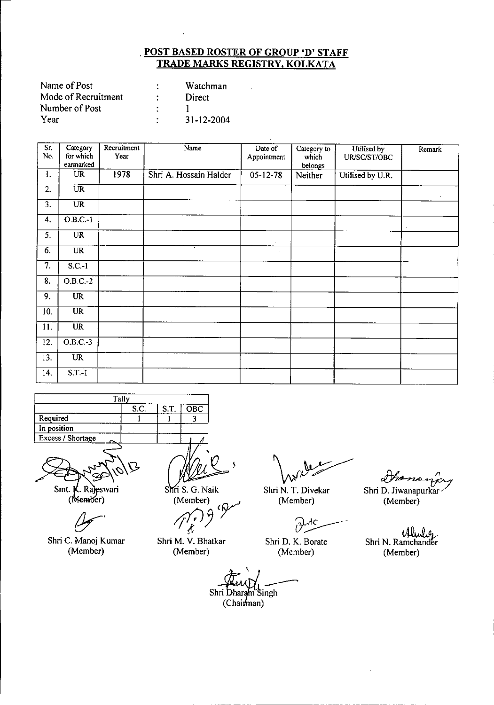l,

| Name of Post        | Watchman   |
|---------------------|------------|
| Mode of Recruitment | Direct     |
| Number of Post      |            |
| Year                | 31-12-2004 |

| Sr.<br>No.                | Category<br>for which<br>earmarked | Recruitment<br>Year | Name                   | Date of<br>Appointment | Category to<br>which<br>belongs | Utilised by<br>UR/SC/ST/OBC | Remark    |
|---------------------------|------------------------------------|---------------------|------------------------|------------------------|---------------------------------|-----------------------------|-----------|
| 1.                        | <b>UR</b>                          | 1978                | Shri A. Hossain Halder | $05 - 12 - 78$         | Neither                         | Utilised by U.R.            |           |
| 2.                        | $\overline{\text{UR}}$             |                     |                        |                        |                                 |                             | $\bullet$ |
| 3.                        | <b>UR</b>                          |                     |                        |                        |                                 |                             |           |
| $\overline{4}$ .          | $O.B.C.-1$                         |                     |                        |                        |                                 |                             |           |
| 5.                        | <b>UR</b>                          |                     |                        | $\sim$                 |                                 |                             |           |
| 6.                        | <b>UR</b>                          |                     |                        | $\epsilon$             |                                 |                             |           |
| $\overline{7}$ .          | $S.C.-1$                           |                     |                        |                        |                                 |                             |           |
| $\overline{\mathbf{8}}$ . | $O.B.C.-2$                         |                     |                        |                        |                                 |                             |           |
| 9.                        | <b>UR</b>                          |                     |                        |                        |                                 |                             |           |
| 10.                       | <b>UR</b>                          |                     |                        |                        |                                 |                             |           |
| 11.                       | $\overline{\text{UR}}$             |                     |                        |                        |                                 |                             |           |
| 12.                       | $O.B.C.-3$                         |                     |                        |                        |                                 |                             |           |
| 13.                       | <b>UR</b>                          |                     |                        |                        |                                 |                             |           |
| 14.                       | $S.T.-1$                           |                     |                        |                        |                                 |                             |           |

|                   | Tally |      |            |
|-------------------|-------|------|------------|
|                   | S.C.  | S.T. | <b>OBC</b> |
| Required          |       |      |            |
| In position       |       |      |            |
| Excess / Shortage |       |      |            |
|                   |       |      |            |

Z

Smt. K. Rajeswari (Member)

Shri C. Manoj Kumar (Member)

.\

Shri S. G. Naik (Member)

/(03*t* Shri M. V. Bhatkar

(Member)

Shri N. T. Divekar

(Member)

 $\partial$ АC

Shri D. K. Borate (Member)

Shananja Shri D. Jiwanapurkar (Member)

 $U$ und Shri N. Ramchander (Member)

\

Shri Dharam Singh<br>(Chairman)